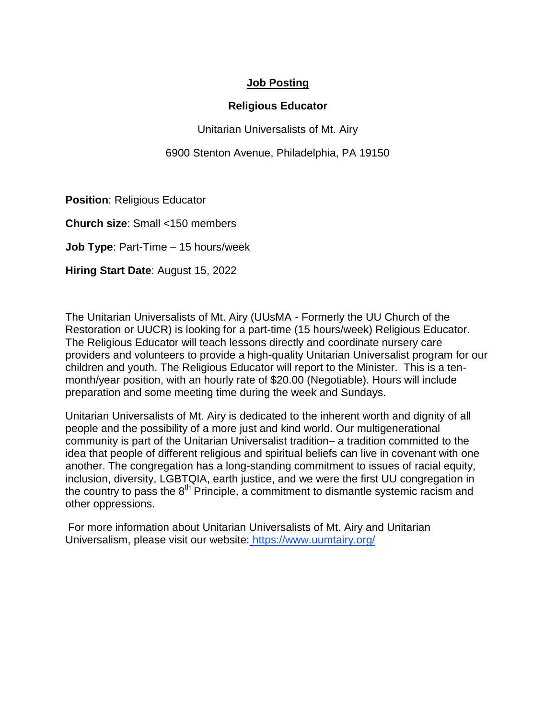## **Job Posting**

## **Religious Educator**

Unitarian Universalists of Mt. Airy

6900 Stenton Avenue, Philadelphia, PA 19150

**Position**: Religious Educator

**Church size**: Small <150 members

**Job Type**: Part-Time – 15 hours/week

**Hiring Start Date**: August 15, 2022

The Unitarian Universalists of Mt. Airy (UUsMA - Formerly the UU Church of the Restoration or UUCR) is looking for a part-time (15 hours/week) Religious Educator. The Religious Educator will teach lessons directly and coordinate nursery care providers and volunteers to provide a high-quality Unitarian Universalist program for our children and youth. The Religious Educator will report to the Minister. This is a tenmonth/year position, with an hourly rate of \$20.00 (Negotiable). Hours will include preparation and some meeting time during the week and Sundays.

Unitarian Universalists of Mt. Airy is dedicated to the inherent worth and dignity of all people and the possibility of a more just and kind world. Our multigenerational community is part of the Unitarian Universalist tradition– a tradition committed to the idea that people of different religious and spiritual beliefs can live in covenant with one another. The congregation has a long-standing commitment to issues of racial equity, inclusion, diversity, LGBTQIA, earth justice, and we were the first UU congregation in the country to pass the  $8<sup>th</sup>$  Principle, a commitment to dismantle systemic racism and other oppressions.

For more information about Unitarian Universalists of Mt. Airy and Unitarian Universalism, please visit our website[:](https://uurestoration.us/) https://www.uumtairy.org/